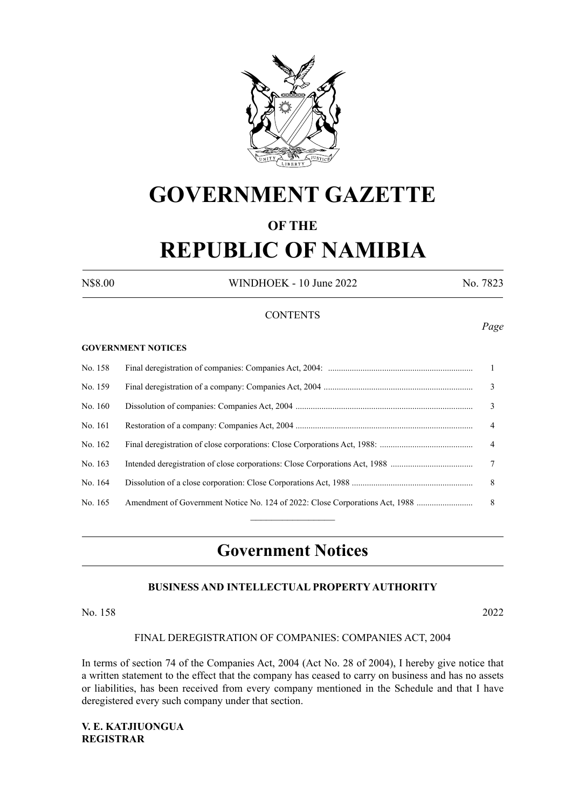

# **GOVERNMENT GAZETTE**

# **OF THE REPUBLIC OF NAMIBIA**

N\$8.00 WINDHOEK - 10 June 2022 No. 7823

# **CONTENTS**

#### **GOVERNMENT NOTICES**

| No. 158 |                                                                              | -1             |
|---------|------------------------------------------------------------------------------|----------------|
| No. 159 |                                                                              | 3              |
| No. 160 |                                                                              | 3              |
| No. 161 |                                                                              | $\overline{4}$ |
| No. 162 |                                                                              | $\overline{4}$ |
| No. 163 |                                                                              | 7              |
| No. 164 |                                                                              | 8              |
| No. 165 | Amendment of Government Notice No. 124 of 2022: Close Corporations Act, 1988 | -8             |
|         |                                                                              |                |

# **Government Notices**

# **BUSINESS AND INTELLECTUAL PROPERTY AUTHORITY**

# No. 158 2022

#### FINAL DEREGISTRATION OF COMPANIES: COMPANIES ACT, 2004

In terms of section 74 of the Companies Act, 2004 (Act No. 28 of 2004), I hereby give notice that a written statement to the effect that the company has ceased to carry on business and has no assets or liabilities, has been received from every company mentioned in the Schedule and that I have deregistered every such company under that section.

**V. E. KATJIUONGUA REGISTRAR**

# *Page*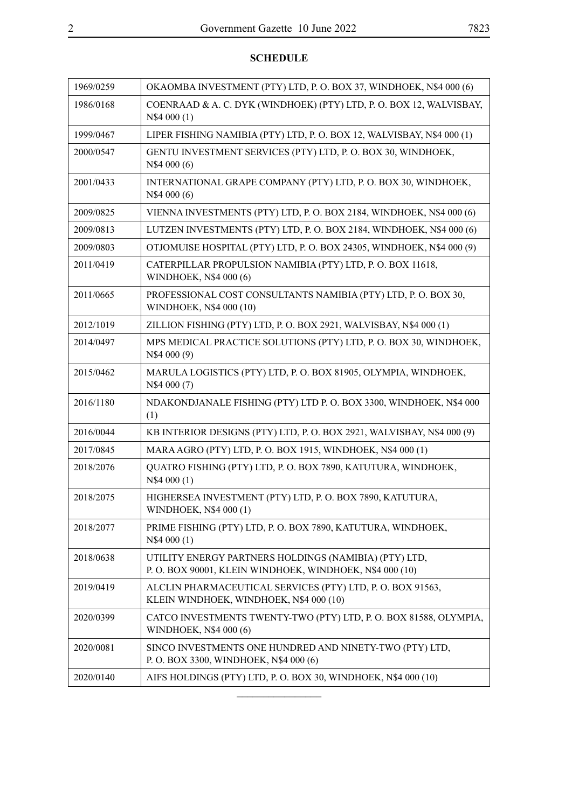| 1969/0259 | OKAOMBA INVESTMENT (PTY) LTD, P. O. BOX 37, WINDHOEK, N\$4 000 (6)                                               |
|-----------|------------------------------------------------------------------------------------------------------------------|
| 1986/0168 | COENRAAD & A. C. DYK (WINDHOEK) (PTY) LTD, P. O. BOX 12, WALVISBAY,<br>N\$4 000 (1)                              |
| 1999/0467 | LIPER FISHING NAMIBIA (PTY) LTD, P. O. BOX 12, WALVISBAY, N\$4 000 (1)                                           |
| 2000/0547 | GENTU INVESTMENT SERVICES (PTY) LTD, P. O. BOX 30, WINDHOEK,<br>N\$4 000 (6)                                     |
| 2001/0433 | INTERNATIONAL GRAPE COMPANY (PTY) LTD, P. O. BOX 30, WINDHOEK,<br>N\$4 000 (6)                                   |
| 2009/0825 | VIENNA INVESTMENTS (PTY) LTD, P. O. BOX 2184, WINDHOEK, N\$4 000 (6)                                             |
| 2009/0813 | LUTZEN INVESTMENTS (PTY) LTD, P. O. BOX 2184, WINDHOEK, N\$4 000 (6)                                             |
| 2009/0803 | OTJOMUISE HOSPITAL (PTY) LTD, P.O. BOX 24305, WINDHOEK, N\$4 000 (9)                                             |
| 2011/0419 | CATERPILLAR PROPULSION NAMIBIA (PTY) LTD, P. O. BOX 11618,<br>WINDHOEK, N\$4 000 (6)                             |
| 2011/0665 | PROFESSIONAL COST CONSULTANTS NAMIBIA (PTY) LTD, P. O. BOX 30,<br>WINDHOEK, N\$4 000 (10)                        |
| 2012/1019 | ZILLION FISHING (PTY) LTD, P. O. BOX 2921, WALVISBAY, N\$4 000 (1)                                               |
| 2014/0497 | MPS MEDICAL PRACTICE SOLUTIONS (PTY) LTD, P. O. BOX 30, WINDHOEK,<br>N\$4 000 (9)                                |
| 2015/0462 | MARULA LOGISTICS (PTY) LTD, P. O. BOX 81905, OLYMPIA, WINDHOEK,<br>N\$4 000 (7)                                  |
| 2016/1180 | NDAKONDJANALE FISHING (PTY) LTD P. O. BOX 3300, WINDHOEK, N\$4 000<br>(1)                                        |
| 2016/0044 | KB INTERIOR DESIGNS (PTY) LTD, P.O. BOX 2921, WALVISBAY, N\$4 000 (9)                                            |
| 2017/0845 | MARA AGRO (PTY) LTD, P.O. BOX 1915, WINDHOEK, N\$4 000 (1)                                                       |
| 2018/2076 | QUATRO FISHING (PTY) LTD, P. O. BOX 7890, KATUTURA, WINDHOEK,<br>N\$4 000 (1)                                    |
| 2018/2075 | HIGHERSEA INVESTMENT (PTY) LTD, P. O. BOX 7890, KATUTURA,<br>WINDHOEK, N\$4 000 (1)                              |
| 2018/2077 | PRIME FISHING (PTY) LTD, P. O. BOX 7890, KATUTURA, WINDHOEK,<br>N\$4 000 (1)                                     |
| 2018/0638 | UTILITY ENERGY PARTNERS HOLDINGS (NAMIBIA) (PTY) LTD,<br>P.O. BOX 90001, KLEIN WINDHOEK, WINDHOEK, N\$4 000 (10) |
| 2019/0419 | ALCLIN PHARMACEUTICAL SERVICES (PTY) LTD, P. O. BOX 91563,<br>KLEIN WINDHOEK, WINDHOEK, N\$4 000 (10)            |
| 2020/0399 | CATCO INVESTMENTS TWENTY-TWO (PTY) LTD, P. O. BOX 81588, OLYMPIA,<br>WINDHOEK, N\$4 000 (6)                      |
| 2020/0081 | SINCO INVESTMENTS ONE HUNDRED AND NINETY-TWO (PTY) LTD,<br>P. O. BOX 3300, WINDHOEK, N\$4 000 (6)                |
| 2020/0140 | AIFS HOLDINGS (PTY) LTD, P. O. BOX 30, WINDHOEK, N\$4 000 (10)                                                   |
|           |                                                                                                                  |

# **SCHEDULE**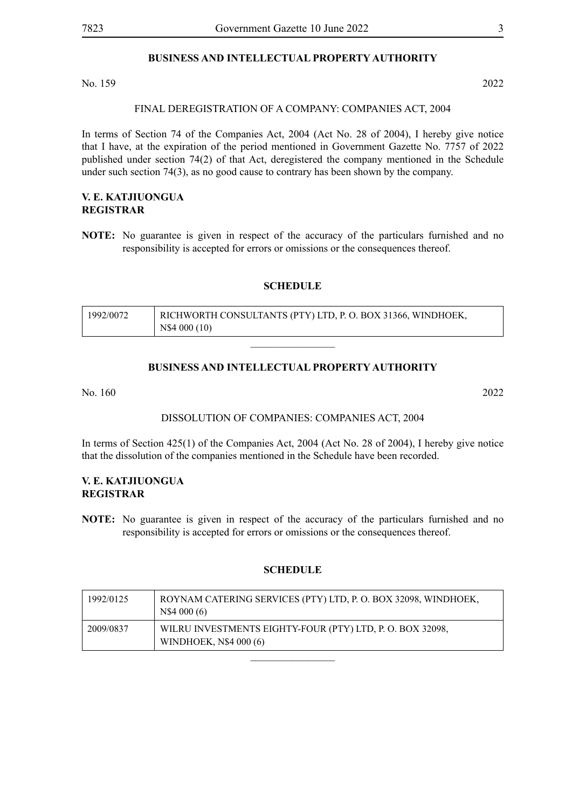# **BUSINESS AND INTELLECTUAL PROPERTY AUTHORITY**

No. 159 2022

# FINAL DEREGISTRATION OF A COMPANY: COMPANIES ACT, 2004

In terms of Section 74 of the Companies Act, 2004 (Act No. 28 of 2004), I hereby give notice that I have, at the expiration of the period mentioned in Government Gazette No. 7757 of 2022 published under section 74(2) of that Act, deregistered the company mentioned in the Schedule under such section 74(3), as no good cause to contrary has been shown by the company.

# **V. E. KATJIUONGUA REGISTRAR**

**NOTE:** No guarantee is given in respect of the accuracy of the particulars furnished and no responsibility is accepted for errors or omissions or the consequences thereof.

## **SCHEDULE**

| 1992/0072 | RICHWORTH CONSULTANTS (PTY) LTD, P. O. BOX 31366, WINDHOEK, |
|-----------|-------------------------------------------------------------|
|           | N\$4 000 (10)                                               |

# **BUSINESS AND INTELLECTUAL PROPERTY AUTHORITY**

 $\overline{\phantom{a}}$  , where  $\overline{\phantom{a}}$ 

No. 160 2022

# DISSOLUTION OF COMPANIES: COMPANIES ACT, 2004

In terms of Section 425(1) of the Companies Act, 2004 (Act No. 28 of 2004), I hereby give notice that the dissolution of the companies mentioned in the Schedule have been recorded.

# **V. E. KATJIUONGUA REGISTRAR**

**NOTE:** No guarantee is given in respect of the accuracy of the particulars furnished and no responsibility is accepted for errors or omissions or the consequences thereof.

# **SCHEDULE**

| 1992/0125 | ROYNAM CATERING SERVICES (PTY) LTD, P. O. BOX 32098, WINDHOEK,<br>N\$4 000(6)       |
|-----------|-------------------------------------------------------------------------------------|
| 2009/0837 | WILRU INVESTMENTS EIGHTY-FOUR (PTY) LTD, P. O. BOX 32098,<br>WINDHOEK, N\$4 000 (6) |
|           |                                                                                     |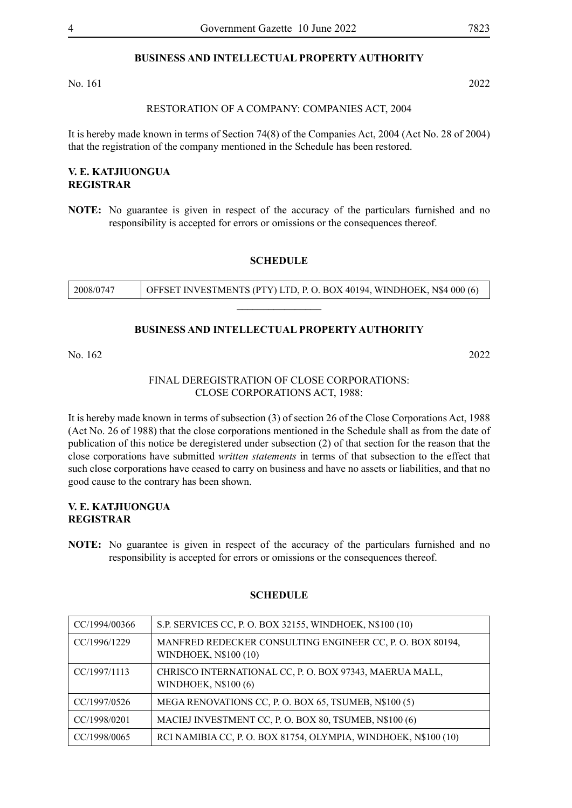# **BUSINESS AND INTELLECTUAL PROPERTY AUTHORITY**

No. 161 2022

#### RESTORATION OF A COMPANY: COMPANIES ACT, 2004

It is hereby made known in terms of Section 74(8) of the Companies Act, 2004 (Act No. 28 of 2004) that the registration of the company mentioned in the Schedule has been restored.

# **V. E. KATJIUONGUA REGISTRAR**

**NOTE:** No guarantee is given in respect of the accuracy of the particulars furnished and no responsibility is accepted for errors or omissions or the consequences thereof.

#### **SCHEDULE**

| 2008/0747 | OFFSET INVESTMENTS (PTY) LTD, P.O. BOX 40194, WINDHOEK, N\$4 000 (6) |
|-----------|----------------------------------------------------------------------|
|           |                                                                      |

#### **BUSINESS AND INTELLECTUAL PROPERTY AUTHORITY**

No. 162 2022

# FINAL DEREGISTRATION OF CLOSE CORPORATIONS: CLOSE CORPORATIONS ACT, 1988:

It is hereby made known in terms of subsection (3) of section 26 of the Close Corporations Act, 1988 (Act No. 26 of 1988) that the close corporations mentioned in the Schedule shall as from the date of publication of this notice be deregistered under subsection (2) of that section for the reason that the close corporations have submitted *written statements* in terms of that subsection to the effect that such close corporations have ceased to carry on business and have no assets or liabilities, and that no good cause to the contrary has been shown.

# **V. E. KATJIUONGUA REGISTRAR**

**NOTE:** No guarantee is given in respect of the accuracy of the particulars furnished and no responsibility is accepted for errors or omissions or the consequences thereof.

| CC/1994/00366 | S.P. SERVICES CC, P. O. BOX 32155, WINDHOEK, N\$100 (10)                               |
|---------------|----------------------------------------------------------------------------------------|
| CC/1996/1229  | MANFRED REDECKER CONSULTING ENGINEER CC, P. O. BOX 80194,<br>WINDHOEK, N\$100 (10)     |
| CC/1997/1113  | CHRISCO INTERNATIONAL CC, P. O. BOX 97343, MAERUA MALL,<br><b>WINDHOEK, N\$100 (6)</b> |
| CC/1997/0526  | MEGA RENOVATIONS CC, P. O. BOX 65, TSUMEB, N\$100 (5)                                  |
| CC/1998/0201  | MACIEJ INVESTMENT CC, P. O. BOX 80, TSUMEB, N\$100 (6)                                 |
| CC/1998/0065  | RCI NAMIBIA CC, P. O. BOX 81754, OLYMPIA, WINDHOEK, N\$100 (10)                        |

#### **SCHEDULE**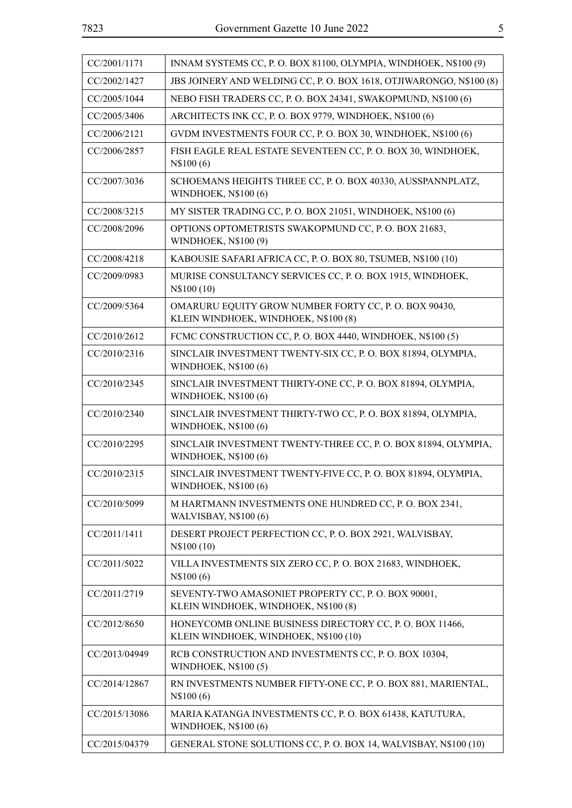| r.<br>I<br>۰.<br>×<br>v |
|-------------------------|
|                         |

| CC/2001/1171  | INNAM SYSTEMS CC, P.O. BOX 81100, OLYMPIA, WINDHOEK, N\$100 (9)                                   |
|---------------|---------------------------------------------------------------------------------------------------|
| CC/2002/1427  | JBS JOINERY AND WELDING CC, P. O. BOX 1618, OTJIWARONGO, N\$100 (8)                               |
| CC/2005/1044  | NEBO FISH TRADERS CC, P. O. BOX 24341, SWAKOPMUND, N\$100 (6)                                     |
| CC/2005/3406  | ARCHITECTS INK CC, P. O. BOX 9779, WINDHOEK, N\$100 (6)                                           |
| CC/2006/2121  | GVDM INVESTMENTS FOUR CC, P. O. BOX 30, WINDHOEK, N\$100 (6)                                      |
| CC/2006/2857  | FISH EAGLE REAL ESTATE SEVENTEEN CC, P. O. BOX 30, WINDHOEK,<br>N\$100(6)                         |
| CC/2007/3036  | SCHOEMANS HEIGHTS THREE CC, P. O. BOX 40330, AUSSPANNPLATZ,<br>WINDHOEK, N\$100 (6)               |
| CC/2008/3215  | MY SISTER TRADING CC, P. O. BOX 21051, WINDHOEK, N\$100 (6)                                       |
| CC/2008/2096  | OPTIONS OPTOMETRISTS SWAKOPMUND CC, P. O. BOX 21683,<br>WINDHOEK, N\$100 (9)                      |
| CC/2008/4218  | KABOUSIE SAFARI AFRICA CC, P. O. BOX 80, TSUMEB, N\$100 (10)                                      |
| CC/2009/0983  | MURISE CONSULTANCY SERVICES CC, P. O. BOX 1915, WINDHOEK,<br>N\$100 (10)                          |
| CC/2009/5364  | OMARURU EQUITY GROW NUMBER FORTY CC, P. O. BOX 90430,<br>KLEIN WINDHOEK, WINDHOEK, N\$100 (8)     |
| CC/2010/2612  | FCMC CONSTRUCTION CC, P. O. BOX 4440, WINDHOEK, N\$100 (5)                                        |
| CC/2010/2316  | SINCLAIR INVESTMENT TWENTY-SIX CC, P. O. BOX 81894, OLYMPIA,<br>WINDHOEK, N\$100 (6)              |
| CC/2010/2345  | SINCLAIR INVESTMENT THIRTY-ONE CC, P. O. BOX 81894, OLYMPIA,<br>WINDHOEK, N\$100 (6)              |
| CC/2010/2340  | SINCLAIR INVESTMENT THIRTY-TWO CC, P. O. BOX 81894, OLYMPIA,<br>WINDHOEK, N\$100 (6)              |
| CC/2010/2295  | SINCLAIR INVESTMENT TWENTY-THREE CC, P. O. BOX 81894, OLYMPIA,<br>WINDHOEK, N\$100 (6)            |
| CC/2010/2315  | SINCLAIR INVESTMENT TWENTY-FIVE CC, P. O. BOX 81894, OLYMPIA,<br>WINDHOEK, N\$100 (6)             |
| CC/2010/5099  | M HARTMANN INVESTMENTS ONE HUNDRED CC, P. O. BOX 2341,<br>WALVISBAY, N\$100 (6)                   |
| CC/2011/1411  | DESERT PROJECT PERFECTION CC, P. O. BOX 2921, WALVISBAY,<br>N\$100 (10)                           |
| CC/2011/5022  | VILLA INVESTMENTS SIX ZERO CC, P. O. BOX 21683, WINDHOEK,<br>N\$100(6)                            |
| CC/2011/2719  | SEVENTY-TWO AMASONIET PROPERTY CC, P. O. BOX 90001,<br>KLEIN WINDHOEK, WINDHOEK, N\$100 (8)       |
| CC/2012/8650  | HONEYCOMB ONLINE BUSINESS DIRECTORY CC, P. O. BOX 11466,<br>KLEIN WINDHOEK, WINDHOEK, N\$100 (10) |
| CC/2013/04949 | RCB CONSTRUCTION AND INVESTMENTS CC, P. O. BOX 10304,<br><b>WINDHOEK, N\$100(5)</b>               |
| CC/2014/12867 | RN INVESTMENTS NUMBER FIFTY-ONE CC, P. O. BOX 881, MARIENTAL,<br>N\$100(6)                        |
| CC/2015/13086 | MARIA KATANGA INVESTMENTS CC, P. O. BOX 61438, KATUTURA,<br><b>WINDHOEK, N\$100 (6)</b>           |
| CC/2015/04379 | GENERAL STONE SOLUTIONS CC, P. O. BOX 14, WALVISBAY, N\$100 (10)                                  |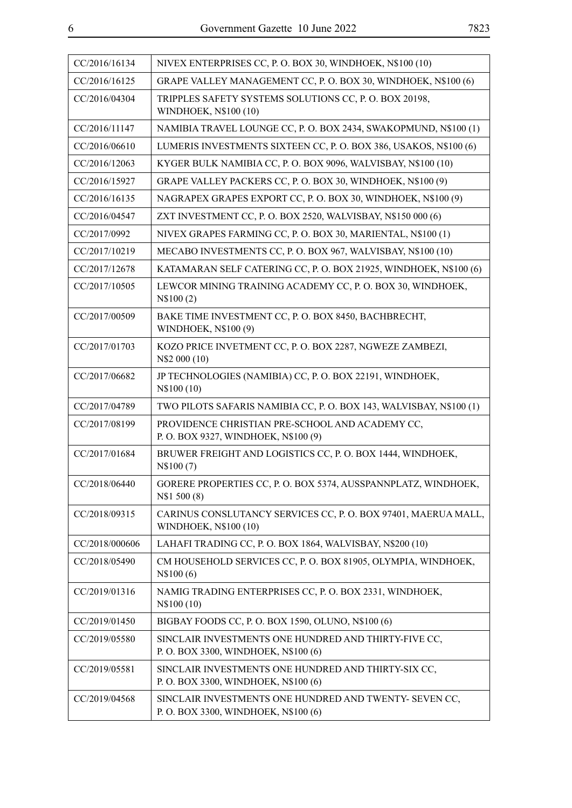| CC/2016/16134  | NIVEX ENTERPRISES CC, P.O. BOX 30, WINDHOEK, N\$100 (10)                                       |
|----------------|------------------------------------------------------------------------------------------------|
| CC/2016/16125  | GRAPE VALLEY MANAGEMENT CC, P. O. BOX 30, WINDHOEK, N\$100 (6)                                 |
| CC/2016/04304  | TRIPPLES SAFETY SYSTEMS SOLUTIONS CC, P. O. BOX 20198,<br>WINDHOEK, N\$100 (10)                |
| CC/2016/11147  | NAMIBIA TRAVEL LOUNGE CC, P. O. BOX 2434, SWAKOPMUND, N\$100 (1)                               |
| CC/2016/06610  | LUMERIS INVESTMENTS SIXTEEN CC, P.O. BOX 386, USAKOS, N\$100 (6)                               |
| CC/2016/12063  | KYGER BULK NAMIBIA CC, P. O. BOX 9096, WALVISBAY, N\$100 (10)                                  |
| CC/2016/15927  | GRAPE VALLEY PACKERS CC, P. O. BOX 30, WINDHOEK, N\$100 (9)                                    |
| CC/2016/16135  | NAGRAPEX GRAPES EXPORT CC, P. O. BOX 30, WINDHOEK, N\$100 (9)                                  |
| CC/2016/04547  | ZXT INVESTMENT CC, P. O. BOX 2520, WALVISBAY, N\$150 000 (6)                                   |
| CC/2017/0992   | NIVEX GRAPES FARMING CC, P. O. BOX 30, MARIENTAL, N\$100 (1)                                   |
| CC/2017/10219  | MECABO INVESTMENTS CC, P. O. BOX 967, WALVISBAY, N\$100 (10)                                   |
| CC/2017/12678  | KATAMARAN SELF CATERING CC, P.O. BOX 21925, WINDHOEK, N\$100 (6)                               |
| CC/2017/10505  | LEWCOR MINING TRAINING ACADEMY CC, P. O. BOX 30, WINDHOEK,<br>N\$100(2)                        |
| CC/2017/00509  | BAKE TIME INVESTMENT CC, P. O. BOX 8450, BACHBRECHT,<br>WINDHOEK, N\$100 (9)                   |
| CC/2017/01703  | KOZO PRICE INVETMENT CC, P. O. BOX 2287, NGWEZE ZAMBEZI,<br>N\$2 000 (10)                      |
| CC/2017/06682  | JP TECHNOLOGIES (NAMIBIA) CC, P. O. BOX 22191, WINDHOEK,<br>N\$100 (10)                        |
| CC/2017/04789  | TWO PILOTS SAFARIS NAMIBIA CC, P. O. BOX 143, WALVISBAY, N\$100 (1)                            |
| CC/2017/08199  | PROVIDENCE CHRISTIAN PRE-SCHOOL AND ACADEMY CC,<br>P.O. BOX 9327, WINDHOEK, N\$100 (9)         |
| CC/2017/01684  | BRUWER FREIGHT AND LOGISTICS CC, P. O. BOX 1444, WINDHOEK,<br>N\\$100(7)                       |
| CC/2018/06440  | GORERE PROPERTIES CC, P. O. BOX 5374, AUSSPANNPLATZ, WINDHOEK,<br>N\\$1 500 (8)                |
| CC/2018/09315  | CARINUS CONSLUTANCY SERVICES CC, P. O. BOX 97401, MAERUA MALL,<br>WINDHOEK, N\$100 (10)        |
| CC/2018/000606 | LAHAFI TRADING CC, P. O. BOX 1864, WALVISBAY, N\$200 (10)                                      |
| CC/2018/05490  | CM HOUSEHOLD SERVICES CC, P. O. BOX 81905, OLYMPIA, WINDHOEK,<br>N\$100(6)                     |
| CC/2019/01316  | NAMIG TRADING ENTERPRISES CC, P. O. BOX 2331, WINDHOEK,<br>N\$100 (10)                         |
| CC/2019/01450  | BIGBAY FOODS CC, P. O. BOX 1590, OLUNO, N\$100 (6)                                             |
| CC/2019/05580  | SINCLAIR INVESTMENTS ONE HUNDRED AND THIRTY-FIVE CC,<br>P. O. BOX 3300, WINDHOEK, N\$100 (6)   |
| CC/2019/05581  | SINCLAIR INVESTMENTS ONE HUNDRED AND THIRTY-SIX CC,<br>P. O. BOX 3300, WINDHOEK, N\$100 (6)    |
| CC/2019/04568  | SINCLAIR INVESTMENTS ONE HUNDRED AND TWENTY- SEVEN CC,<br>P. O. BOX 3300, WINDHOEK, N\$100 (6) |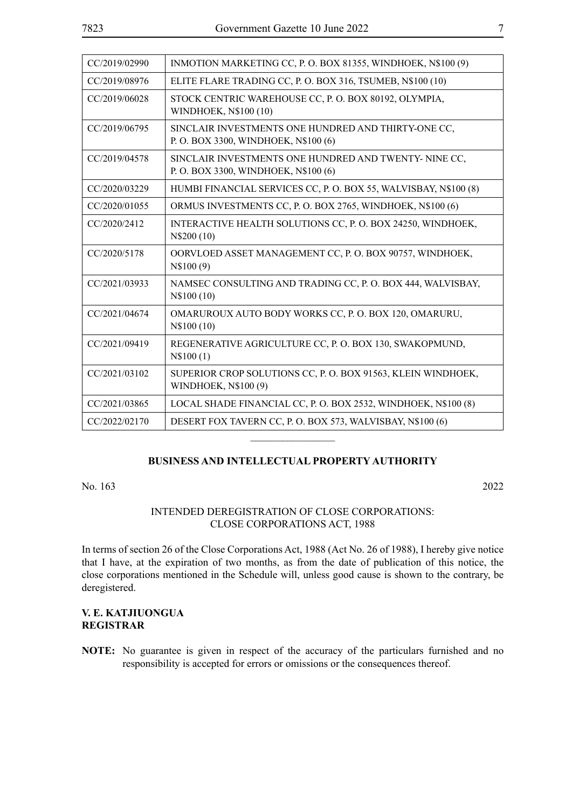| CC/2019/02990 | INMOTION MARKETING CC, P. O. BOX 81355, WINDHOEK, N\$100 (9)                                  |
|---------------|-----------------------------------------------------------------------------------------------|
| CC/2019/08976 | ELITE FLARE TRADING CC, P. O. BOX 316, TSUMEB, N\$100 (10)                                    |
| CC/2019/06028 | STOCK CENTRIC WAREHOUSE CC, P. O. BOX 80192, OLYMPIA,<br>WINDHOEK, N\$100 (10)                |
| CC/2019/06795 | SINCLAIR INVESTMENTS ONE HUNDRED AND THIRTY-ONE CC,<br>P. O. BOX 3300, WINDHOEK, N\$100 (6)   |
| CC/2019/04578 | SINCLAIR INVESTMENTS ONE HUNDRED AND TWENTY- NINE CC,<br>P. O. BOX 3300, WINDHOEK, N\$100 (6) |
| CC/2020/03229 | HUMBI FINANCIAL SERVICES CC, P. O. BOX 55, WALVISBAY, N\$100 (8)                              |
| CC/2020/01055 | ORMUS INVESTMENTS CC, P. O. BOX 2765, WINDHOEK, N\$100 (6)                                    |
| CC/2020/2412  | INTERACTIVE HEALTH SOLUTIONS CC, P. O. BOX 24250, WINDHOEK,<br>N\$200 (10)                    |
| CC/2020/5178  | OORVLOED ASSET MANAGEMENT CC, P. O. BOX 90757, WINDHOEK,<br>N\$100(9)                         |
| CC/2021/03933 | NAMSEC CONSULTING AND TRADING CC, P. O. BOX 444, WALVISBAY,<br>N\$100 (10)                    |
| CC/2021/04674 | OMARUROUX AUTO BODY WORKS CC, P. O. BOX 120, OMARURU,<br>N\$100 (10)                          |
| CC/2021/09419 | REGENERATIVE AGRICULTURE CC, P. O. BOX 130, SWAKOPMUND,<br>N\$100(1)                          |
| CC/2021/03102 | SUPERIOR CROP SOLUTIONS CC, P. O. BOX 91563, KLEIN WINDHOEK,<br>WINDHOEK, N\$100 (9)          |
| CC/2021/03865 | LOCAL SHADE FINANCIAL CC, P. O. BOX 2532, WINDHOEK, N\$100 (8)                                |
| CC/2022/02170 | DESERT FOX TAVERN CC, P. O. BOX 573, WALVISBAY, N\$100 (6)                                    |

# **BUSINESS AND INTELLECTUAL PROPERTY AUTHORITY**

 $\overline{\phantom{a}}$  , where  $\overline{\phantom{a}}$ 

No. 163 2022

# INTENDED DEREGISTRATION OF CLOSE CORPORATIONS: CLOSE CORPORATIONS ACT, 1988

In terms of section 26 of the Close Corporations Act, 1988 (Act No. 26 of 1988), I hereby give notice that I have, at the expiration of two months, as from the date of publication of this notice, the close corporations mentioned in the Schedule will, unless good cause is shown to the contrary, be deregistered.

# **V. E. KATJIUONGUA REGISTRAR**

**NOTE:** No guarantee is given in respect of the accuracy of the particulars furnished and no responsibility is accepted for errors or omissions or the consequences thereof.